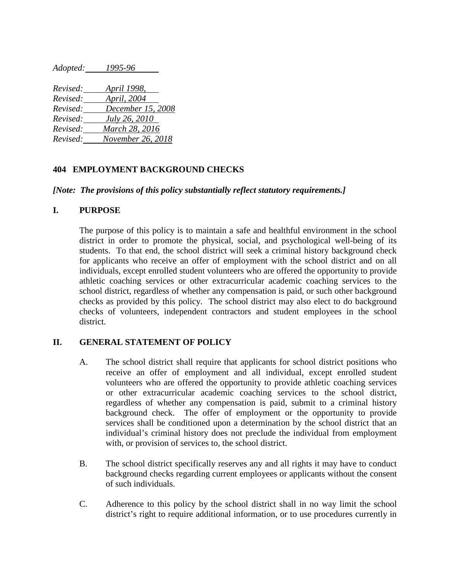*Adopted: 1995-96*

| Revised: | <i>April 1998,</i> |
|----------|--------------------|
| Revised: | April, 2004        |
| Revised: | December 15, 2008  |
| Revised: | July 26, 2010      |
| Revised: | March 28, 2016     |
| Revised: | November 26, 2018  |

### **404 EMPLOYMENT BACKGROUND CHECKS**

#### *[Note: The provisions of this policy substantially reflect statutory requirements.]*

#### **I. PURPOSE**

The purpose of this policy is to maintain a safe and healthful environment in the school district in order to promote the physical, social, and psychological well-being of its students. To that end, the school district will seek a criminal history background check for applicants who receive an offer of employment with the school district and on all individuals, except enrolled student volunteers who are offered the opportunity to provide athletic coaching services or other extracurricular academic coaching services to the school district, regardless of whether any compensation is paid, or such other background checks as provided by this policy. The school district may also elect to do background checks of volunteers, independent contractors and student employees in the school district.

#### **II. GENERAL STATEMENT OF POLICY**

- A. The school district shall require that applicants for school district positions who receive an offer of employment and all individual, except enrolled student volunteers who are offered the opportunity to provide athletic coaching services or other extracurricular academic coaching services to the school district, regardless of whether any compensation is paid, submit to a criminal history background check. The offer of employment or the opportunity to provide services shall be conditioned upon a determination by the school district that an individual's criminal history does not preclude the individual from employment with, or provision of services to, the school district.
- B. The school district specifically reserves any and all rights it may have to conduct background checks regarding current employees or applicants without the consent of such individuals.
- C. Adherence to this policy by the school district shall in no way limit the school district's right to require additional information, or to use procedures currently in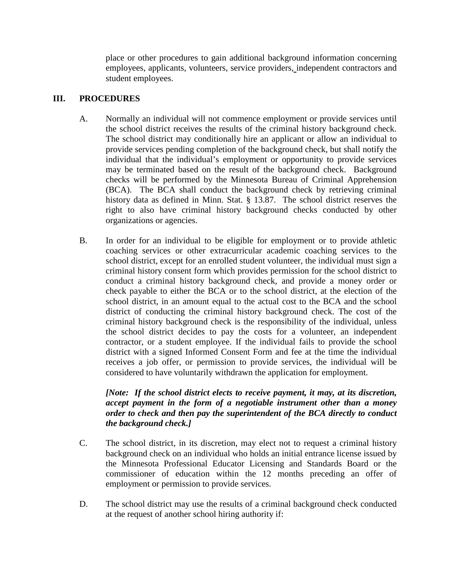place or other procedures to gain additional background information concerning employees, applicants, volunteers, service providers, independent contractors and student employees.

## **III. PROCEDURES**

- A. Normally an individual will not commence employment or provide services until the school district receives the results of the criminal history background check. The school district may conditionally hire an applicant or allow an individual to provide services pending completion of the background check, but shall notify the individual that the individual's employment or opportunity to provide services may be terminated based on the result of the background check. Background checks will be performed by the Minnesota Bureau of Criminal Apprehension (BCA). The BCA shall conduct the background check by retrieving criminal history data as defined in Minn. Stat. § 13.87. The school district reserves the right to also have criminal history background checks conducted by other organizations or agencies.
- B. In order for an individual to be eligible for employment or to provide athletic coaching services or other extracurricular academic coaching services to the school district, except for an enrolled student volunteer, the individual must sign a criminal history consent form which provides permission for the school district to conduct a criminal history background check, and provide a money order or check payable to either the BCA or to the school district, at the election of the school district, in an amount equal to the actual cost to the BCA and the school district of conducting the criminal history background check. The cost of the criminal history background check is the responsibility of the individual, unless the school district decides to pay the costs for a volunteer, an independent contractor, or a student employee. If the individual fails to provide the school district with a signed Informed Consent Form and fee at the time the individual receives a job offer, or permission to provide services, the individual will be considered to have voluntarily withdrawn the application for employment.

## *[Note: If the school district elects to receive payment, it may, at its discretion, accept payment in the form of a negotiable instrument other than a money order to check and then pay the superintendent of the BCA directly to conduct the background check.]*

- C. The school district, in its discretion, may elect not to request a criminal history background check on an individual who holds an initial entrance license issued by the Minnesota Professional Educator Licensing and Standards Board or the commissioner of education within the 12 months preceding an offer of employment or permission to provide services.
- D. The school district may use the results of a criminal background check conducted at the request of another school hiring authority if: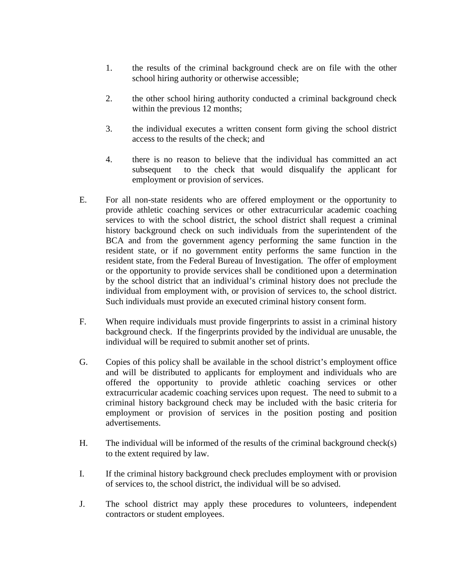- 1. the results of the criminal background check are on file with the other school hiring authority or otherwise accessible;
- 2. the other school hiring authority conducted a criminal background check within the previous 12 months;
- 3. the individual executes a written consent form giving the school district access to the results of the check; and
- 4. there is no reason to believe that the individual has committed an act subsequent to the check that would disqualify the applicant for employment or provision of services.
- E. For all non-state residents who are offered employment or the opportunity to provide athletic coaching services or other extracurricular academic coaching services to with the school district, the school district shall request a criminal history background check on such individuals from the superintendent of the BCA and from the government agency performing the same function in the resident state, or if no government entity performs the same function in the resident state, from the Federal Bureau of Investigation. The offer of employment or the opportunity to provide services shall be conditioned upon a determination by the school district that an individual's criminal history does not preclude the individual from employment with, or provision of services to, the school district. Such individuals must provide an executed criminal history consent form.
- F. When require individuals must provide fingerprints to assist in a criminal history background check. If the fingerprints provided by the individual are unusable, the individual will be required to submit another set of prints.
- G. Copies of this policy shall be available in the school district's employment office and will be distributed to applicants for employment and individuals who are offered the opportunity to provide athletic coaching services or other extracurricular academic coaching services upon request. The need to submit to a criminal history background check may be included with the basic criteria for employment or provision of services in the position posting and position advertisements.
- H. The individual will be informed of the results of the criminal background check(s) to the extent required by law.
- I. If the criminal history background check precludes employment with or provision of services to, the school district, the individual will be so advised.
- J. The school district may apply these procedures to volunteers, independent contractors or student employees.